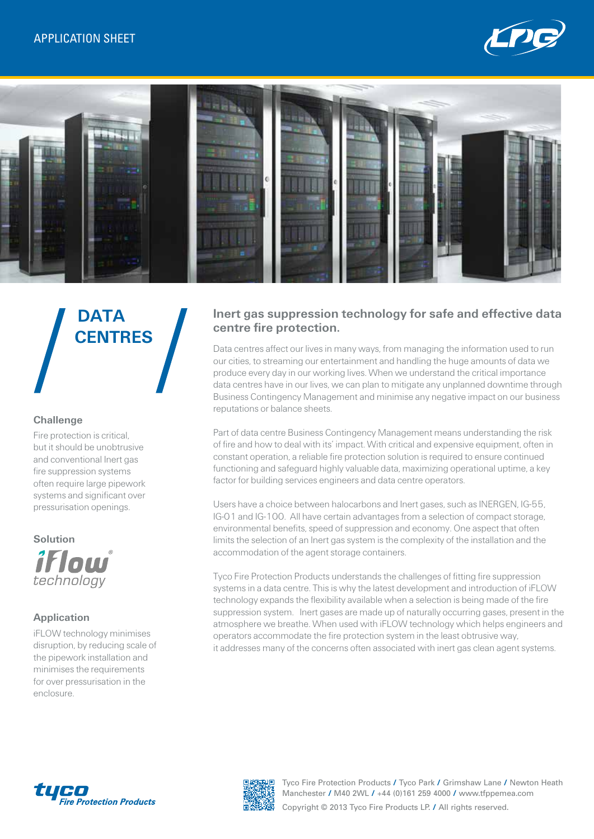



# **DATA CENTRES**

## **Challenge**

Fire protection is critical, but it should be unobtrusive and conventional lnert gas fire suppression systems often require large pipework systems and significant over pressurisation openings.

#### **Solution**



## **Application**

iFLOW technology minimises disruption, by reducing scale of the pipework installation and minimises the requirements for over pressurisation in the enclosure.

# **Inert gas suppression technology for safe and effective data centre fire protection.**

Data centres affect our lives in many ways, from managing the information used to run our cities, to streaming our entertainment and handling the huge amounts of data we produce every day in our working lives. When we understand the critical importance data centres have in our lives, we can plan to mitigate any unplanned downtime through Business Contingency Management and minimise any negative impact on our business reputations or balance sheets.

Part of data centre Business Contingency Management means understanding the risk of fire and how to deal with its' impact. With critical and expensive equipment, often in constant operation, a reliable fire protection solution is required to ensure continued functioning and safeguard highly valuable data, maximizing operational uptime, a key factor for building services engineers and data centre operators.

Users have a choice between halocarbons and Inert gases, such as INERGEN, IG-55, IG-01 and IG-100. All have certain advantages from a selection of compact storage, environmental benefits, speed of suppression and economy. One aspect that often limits the selection of an Inert gas system is the complexity of the installation and the accommodation of the agent storage containers.

Tyco Fire Protection Products understands the challenges of fitting fire suppression systems in a data centre. This is why the latest development and introduction of iFLOW technology expands the flexibility available when a selection is being made of the fire suppression system. Inert gases are made up of naturally occurring gases, present in the atmosphere we breathe. When used with iFLOW technology which helps engineers and operators accommodate the fire protection system in the least obtrusive way, it addresses many of the concerns often associated with inert gas clean agent systems.





Tyco Fire Protection Products **/** Tyco Park **/** Grimshaw Lane **/** Newton Heath Manchester **/** M40 2WL **/** +44 (0)161 259 4000 **/** www.tfppemea.com Copyright © 2013 Tyco Fire Products LP. **/** All rights reserved.